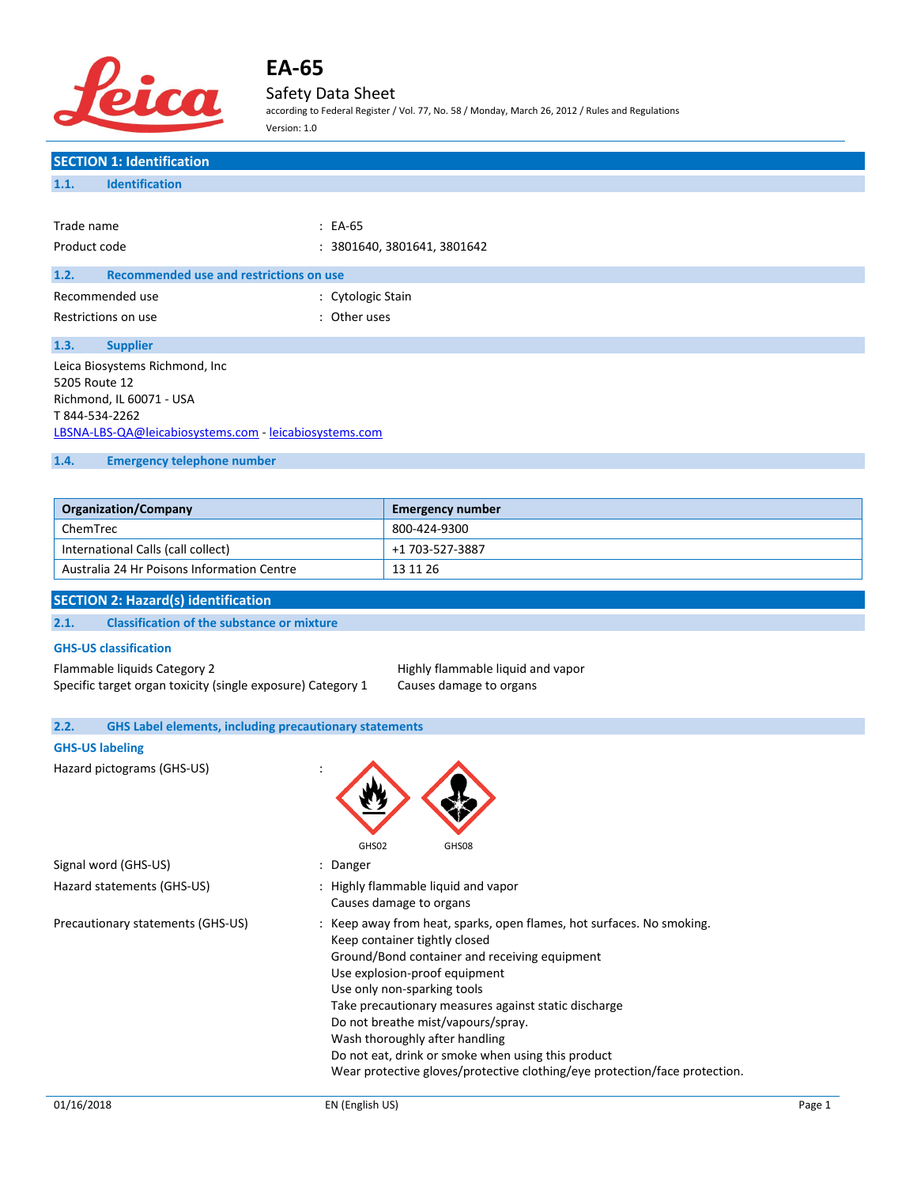

# Safety Data Sheet

according to Federal Register / Vol. 77, No. 58 / Monday, March 26, 2012 / Rules and Regulations Version: 1.0

## **SECTION 1: Identification 1.1. Identification**

| Trade name                                                                                                                                              | $: EA-65$                   |
|---------------------------------------------------------------------------------------------------------------------------------------------------------|-----------------------------|
| Product code                                                                                                                                            | : 3801640, 3801641, 3801642 |
| 1.2.<br>Recommended use and restrictions on use                                                                                                         |                             |
| Recommended use                                                                                                                                         | : Cytologic Stain           |
| Restrictions on use                                                                                                                                     | : Other uses                |
| 1.3.<br><b>Supplier</b>                                                                                                                                 |                             |
| Leica Biosystems Richmond, Inc<br>5205 Route 12<br>Richmond, IL 60071 - USA<br>T 844-534-2262<br>LBSNA-LBS-QA@leicabiosystems.com - leicabiosystems.com |                             |

### **1.4. Emergency telephone number**

| <b>Organization/Company</b>                | <b>Emergency number</b> |
|--------------------------------------------|-------------------------|
| ChemTrec                                   | 800-424-9300            |
| International Calls (call collect)         | +1 703-527-3887         |
| Australia 24 Hr Poisons Information Centre | 13 11 26                |

### **SECTION 2: Hazard(s) identification**

| 2.1. | <b>Classification of the substance or mixture</b> |  |  |  |
|------|---------------------------------------------------|--|--|--|
|------|---------------------------------------------------|--|--|--|

### **GHS-US classification**

Flammable liquids Category 2 **Highly flammable liquid and vapor**<br>Specific target organ toxicity (single exposure) Category 1 Causes damage to organs Specific target organ toxicity (single exposure) Category 1

| <b>GHS Label elements, including precautionary statements</b><br>2.2. |                                                                                                                                                                                                                                                                                                                                                                                                                                                                                             |
|-----------------------------------------------------------------------|---------------------------------------------------------------------------------------------------------------------------------------------------------------------------------------------------------------------------------------------------------------------------------------------------------------------------------------------------------------------------------------------------------------------------------------------------------------------------------------------|
| <b>GHS-US labeling</b>                                                |                                                                                                                                                                                                                                                                                                                                                                                                                                                                                             |
| Hazard pictograms (GHS-US)                                            | GHS02<br>GHS08                                                                                                                                                                                                                                                                                                                                                                                                                                                                              |
| Signal word (GHS-US)                                                  | : Danger                                                                                                                                                                                                                                                                                                                                                                                                                                                                                    |
| Hazard statements (GHS-US)                                            | : Highly flammable liquid and vapor<br>Causes damage to organs                                                                                                                                                                                                                                                                                                                                                                                                                              |
| Precautionary statements (GHS-US)                                     | : Keep away from heat, sparks, open flames, hot surfaces. No smoking.<br>Keep container tightly closed<br>Ground/Bond container and receiving equipment<br>Use explosion-proof equipment<br>Use only non-sparking tools<br>Take precautionary measures against static discharge<br>Do not breathe mist/vapours/spray.<br>Wash thoroughly after handling<br>Do not eat, drink or smoke when using this product<br>Wear protective gloves/protective clothing/eye protection/face protection. |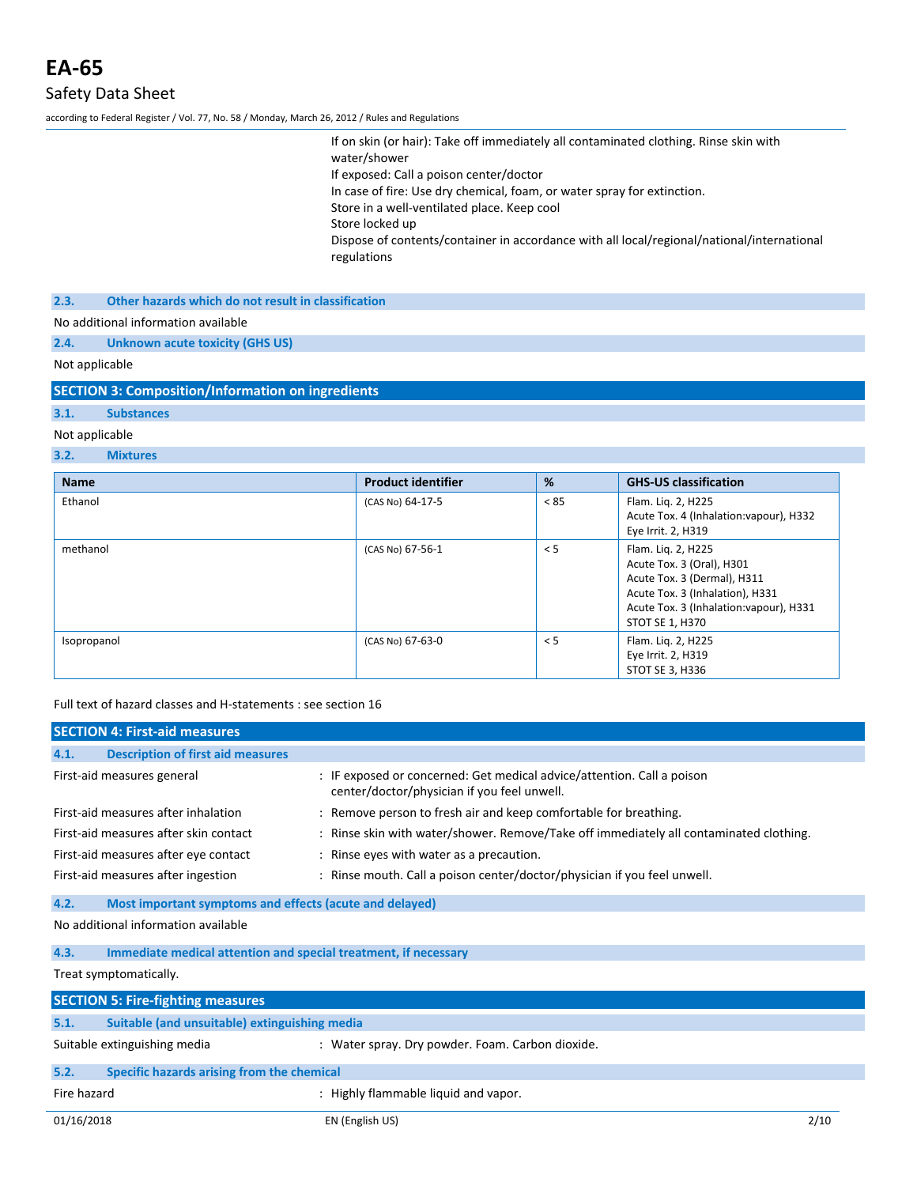according to Federal Register / Vol. 77, No. 58 / Monday, March 26, 2012 / Rules and Regulations

If on skin (or hair): Take off immediately all contaminated clothing. Rinse skin with water/shower If exposed: Call a poison center/doctor In case of fire: Use dry chemical, foam, or water spray for extinction. Store in a well-ventilated place. Keep cool Store locked up Dispose of contents/container in accordance with all local/regional/national/international regulations

**2.3. Other hazards which do not result in classification**

No additional information available

**2.4. Unknown acute toxicity (GHS US)**

Not applicable

**SECTION 3: Composition/Information on ingredients**

## **3.1. Substances**

### Not applicable

### **3.2. Mixtures**

| <b>Name</b> | <b>Product identifier</b> | %    | <b>GHS-US classification</b>                                                                                                                                                    |
|-------------|---------------------------|------|---------------------------------------------------------------------------------------------------------------------------------------------------------------------------------|
| Ethanol     | (CAS No) 64-17-5          | < 85 | Flam. Liq. 2, H225<br>Acute Tox. 4 (Inhalation: vapour), H332<br>Eye Irrit. 2, H319                                                                                             |
| methanol    | (CAS No) 67-56-1          | < 5  | Flam. Liq. 2, H225<br>Acute Tox. 3 (Oral), H301<br>Acute Tox. 3 (Dermal), H311<br>Acute Tox. 3 (Inhalation), H331<br>Acute Tox. 3 (Inhalation: vapour), H331<br>STOT SE 1, H370 |
| Isopropanol | (CAS No) 67-63-0          | < 5  | Flam. Liq. 2, H225<br>Eye Irrit. 2, H319<br>STOT SE 3, H336                                                                                                                     |

Full text of hazard classes and H-statements : see section 16

|             | <b>SECTION 4: First-aid measures</b>                            |                                                                                                                       |  |
|-------------|-----------------------------------------------------------------|-----------------------------------------------------------------------------------------------------------------------|--|
| 4.1.        | <b>Description of first aid measures</b>                        |                                                                                                                       |  |
|             | First-aid measures general                                      | : IF exposed or concerned: Get medical advice/attention. Call a poison<br>center/doctor/physician if you feel unwell. |  |
|             | First-aid measures after inhalation                             | : Remove person to fresh air and keep comfortable for breathing.                                                      |  |
|             | First-aid measures after skin contact                           | : Rinse skin with water/shower. Remove/Take off immediately all contaminated clothing.                                |  |
|             | First-aid measures after eye contact                            | : Rinse eyes with water as a precaution.                                                                              |  |
|             | First-aid measures after ingestion                              | : Rinse mouth. Call a poison center/doctor/physician if you feel unwell.                                              |  |
| 4.2.        | Most important symptoms and effects (acute and delayed)         |                                                                                                                       |  |
|             | No additional information available                             |                                                                                                                       |  |
| 4.3.        | Immediate medical attention and special treatment, if necessary |                                                                                                                       |  |
|             | Treat symptomatically.                                          |                                                                                                                       |  |
|             | <b>SECTION 5: Fire-fighting measures</b>                        |                                                                                                                       |  |
| 5.1.        | Suitable (and unsuitable) extinguishing media                   |                                                                                                                       |  |
|             | Suitable extinguishing media                                    | : Water spray. Dry powder. Foam. Carbon dioxide.                                                                      |  |
| 5.2.        | Specific hazards arising from the chemical                      |                                                                                                                       |  |
| Fire hazard |                                                                 | : Highly flammable liquid and vapor.                                                                                  |  |
| 01/16/2018  |                                                                 | 2/10<br>EN (English US)                                                                                               |  |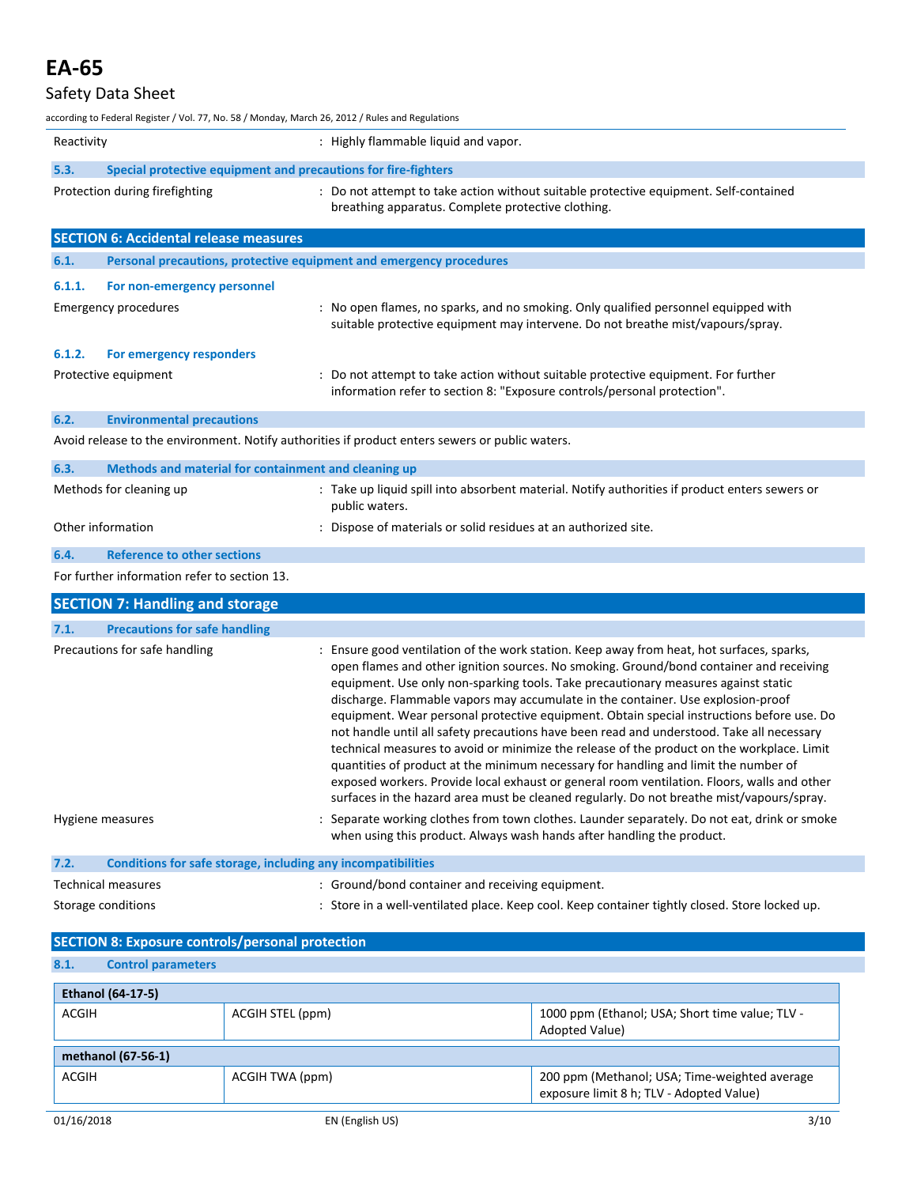# Safety Data Sheet

| according to Federal Register / Vol. 77, No. 58 / Monday, March 26, 2012 / Rules and Regulations |                                                                                                                                                                                                                                                                                                                                                                                                                                                                                                                                                                                                                                                                                                                                                                                                                                                                                                                                           |
|--------------------------------------------------------------------------------------------------|-------------------------------------------------------------------------------------------------------------------------------------------------------------------------------------------------------------------------------------------------------------------------------------------------------------------------------------------------------------------------------------------------------------------------------------------------------------------------------------------------------------------------------------------------------------------------------------------------------------------------------------------------------------------------------------------------------------------------------------------------------------------------------------------------------------------------------------------------------------------------------------------------------------------------------------------|
| Reactivity                                                                                       | : Highly flammable liquid and vapor.                                                                                                                                                                                                                                                                                                                                                                                                                                                                                                                                                                                                                                                                                                                                                                                                                                                                                                      |
| 5.3.<br>Special protective equipment and precautions for fire-fighters                           |                                                                                                                                                                                                                                                                                                                                                                                                                                                                                                                                                                                                                                                                                                                                                                                                                                                                                                                                           |
| Protection during firefighting                                                                   | : Do not attempt to take action without suitable protective equipment. Self-contained<br>breathing apparatus. Complete protective clothing.                                                                                                                                                                                                                                                                                                                                                                                                                                                                                                                                                                                                                                                                                                                                                                                               |
| <b>SECTION 6: Accidental release measures</b>                                                    |                                                                                                                                                                                                                                                                                                                                                                                                                                                                                                                                                                                                                                                                                                                                                                                                                                                                                                                                           |
| 6.1.<br>Personal precautions, protective equipment and emergency procedures                      |                                                                                                                                                                                                                                                                                                                                                                                                                                                                                                                                                                                                                                                                                                                                                                                                                                                                                                                                           |
| 6.1.1.<br>For non-emergency personnel                                                            |                                                                                                                                                                                                                                                                                                                                                                                                                                                                                                                                                                                                                                                                                                                                                                                                                                                                                                                                           |
| <b>Emergency procedures</b>                                                                      | : No open flames, no sparks, and no smoking. Only qualified personnel equipped with<br>suitable protective equipment may intervene. Do not breathe mist/vapours/spray.                                                                                                                                                                                                                                                                                                                                                                                                                                                                                                                                                                                                                                                                                                                                                                    |
| 6.1.2.<br>For emergency responders                                                               |                                                                                                                                                                                                                                                                                                                                                                                                                                                                                                                                                                                                                                                                                                                                                                                                                                                                                                                                           |
| Protective equipment                                                                             | : Do not attempt to take action without suitable protective equipment. For further<br>information refer to section 8: "Exposure controls/personal protection".                                                                                                                                                                                                                                                                                                                                                                                                                                                                                                                                                                                                                                                                                                                                                                            |
| 6.2.<br><b>Environmental precautions</b>                                                         |                                                                                                                                                                                                                                                                                                                                                                                                                                                                                                                                                                                                                                                                                                                                                                                                                                                                                                                                           |
|                                                                                                  | Avoid release to the environment. Notify authorities if product enters sewers or public waters.                                                                                                                                                                                                                                                                                                                                                                                                                                                                                                                                                                                                                                                                                                                                                                                                                                           |
| 6.3.<br>Methods and material for containment and cleaning up                                     |                                                                                                                                                                                                                                                                                                                                                                                                                                                                                                                                                                                                                                                                                                                                                                                                                                                                                                                                           |
| Methods for cleaning up                                                                          | : Take up liquid spill into absorbent material. Notify authorities if product enters sewers or<br>public waters.                                                                                                                                                                                                                                                                                                                                                                                                                                                                                                                                                                                                                                                                                                                                                                                                                          |
| Other information                                                                                | : Dispose of materials or solid residues at an authorized site.                                                                                                                                                                                                                                                                                                                                                                                                                                                                                                                                                                                                                                                                                                                                                                                                                                                                           |
| 6.4.<br><b>Reference to other sections</b>                                                       |                                                                                                                                                                                                                                                                                                                                                                                                                                                                                                                                                                                                                                                                                                                                                                                                                                                                                                                                           |
| For further information refer to section 13.                                                     |                                                                                                                                                                                                                                                                                                                                                                                                                                                                                                                                                                                                                                                                                                                                                                                                                                                                                                                                           |
| <b>SECTION 7: Handling and storage</b>                                                           |                                                                                                                                                                                                                                                                                                                                                                                                                                                                                                                                                                                                                                                                                                                                                                                                                                                                                                                                           |
| 7.1.<br><b>Precautions for safe handling</b>                                                     |                                                                                                                                                                                                                                                                                                                                                                                                                                                                                                                                                                                                                                                                                                                                                                                                                                                                                                                                           |
| Precautions for safe handling                                                                    | : Ensure good ventilation of the work station. Keep away from heat, hot surfaces, sparks,<br>open flames and other ignition sources. No smoking. Ground/bond container and receiving<br>equipment. Use only non-sparking tools. Take precautionary measures against static<br>discharge. Flammable vapors may accumulate in the container. Use explosion-proof<br>equipment. Wear personal protective equipment. Obtain special instructions before use. Do<br>not handle until all safety precautions have been read and understood. Take all necessary<br>technical measures to avoid or minimize the release of the product on the workplace. Limit<br>quantities of product at the minimum necessary for handling and limit the number of<br>exposed workers. Provide local exhaust or general room ventilation. Floors, walls and other<br>surfaces in the hazard area must be cleaned regularly. Do not breathe mist/vapours/spray. |
| Hygiene measures                                                                                 | : Separate working clothes from town clothes. Launder separately. Do not eat, drink or smoke<br>when using this product. Always wash hands after handling the product.                                                                                                                                                                                                                                                                                                                                                                                                                                                                                                                                                                                                                                                                                                                                                                    |
| 7.2.<br>Conditions for safe storage, including any incompatibilities                             |                                                                                                                                                                                                                                                                                                                                                                                                                                                                                                                                                                                                                                                                                                                                                                                                                                                                                                                                           |
| Technical measures                                                                               | : Ground/bond container and receiving equipment.                                                                                                                                                                                                                                                                                                                                                                                                                                                                                                                                                                                                                                                                                                                                                                                                                                                                                          |
| Storage conditions                                                                               | : Store in a well-ventilated place. Keep cool. Keep container tightly closed. Store locked up.                                                                                                                                                                                                                                                                                                                                                                                                                                                                                                                                                                                                                                                                                                                                                                                                                                            |

| <b>SECTION 8: Exposure controls/personal protection</b> |                  |                                                                                           |
|---------------------------------------------------------|------------------|-------------------------------------------------------------------------------------------|
| 8.1.<br><b>Control parameters</b>                       |                  |                                                                                           |
| <b>Ethanol (64-17-5)</b>                                |                  |                                                                                           |
| ACGIH                                                   | ACGIH STEL (ppm) | 1000 ppm (Ethanol; USA; Short time value; TLV -<br>Adopted Value)                         |
| methanol (67-56-1)                                      |                  |                                                                                           |
| ACGIH                                                   | ACGIH TWA (ppm)  | 200 ppm (Methanol; USA; Time-weighted average<br>exposure limit 8 h; TLV - Adopted Value) |
| 01/16/2018                                              | EN (English US)  | 3/10                                                                                      |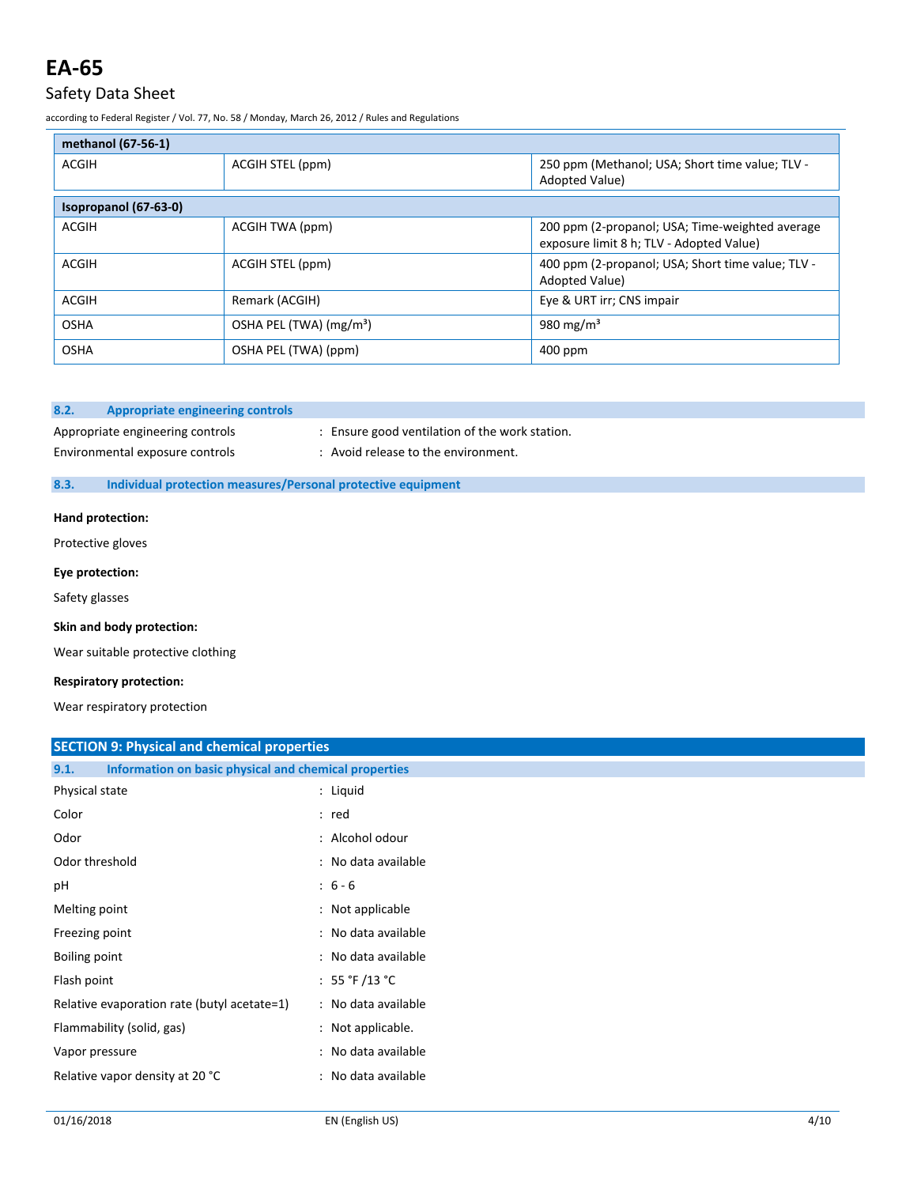## Safety Data Sheet

according to Federal Register / Vol. 77, No. 58 / Monday, March 26, 2012 / Rules and Regulations

| methanol (67-56-1)    |                                     |                                                                                             |
|-----------------------|-------------------------------------|---------------------------------------------------------------------------------------------|
| ACGIH                 | ACGIH STEL (ppm)                    | 250 ppm (Methanol; USA; Short time value; TLV -<br>Adopted Value)                           |
| Isopropanol (67-63-0) |                                     |                                                                                             |
| <b>ACGIH</b>          | ACGIH TWA (ppm)                     | 200 ppm (2-propanol; USA; Time-weighted average<br>exposure limit 8 h; TLV - Adopted Value) |
| <b>ACGIH</b>          | ACGIH STEL (ppm)                    | 400 ppm (2-propanol; USA; Short time value; TLV -<br>Adopted Value)                         |
| <b>ACGIH</b>          | Remark (ACGIH)                      | Eye & URT irr; CNS impair                                                                   |
| <b>OSHA</b>           | OSHA PEL (TWA) (mg/m <sup>3</sup> ) | 980 mg/m <sup>3</sup>                                                                       |
| <b>OSHA</b>           | OSHA PEL (TWA) (ppm)                | $400$ ppm                                                                                   |

### **8.2. Appropriate engineering controls**

Appropriate engineering controls : Ensure good ventilation of the work station.

# Environmental exposure controls : Avoid release to the environment.

### **8.3. Individual protection measures/Personal protective equipment**

#### **Hand protection:**

Protective gloves

#### **Eye protection:**

Safety glasses

#### **Skin and body protection:**

Wear suitable protective clothing

#### **Respiratory protection:**

Wear respiratory protection

### **SECTION 9: Physical and chemical properties**

| Physical state<br>: Liquid<br>Color<br>: red                       |
|--------------------------------------------------------------------|
|                                                                    |
|                                                                    |
| : Alcohol odour<br>Odor                                            |
| Odor threshold<br>: No data available                              |
| $: 6 - 6$<br>pH                                                    |
| Melting point<br>: Not applicable                                  |
| : No data available<br>Freezing point                              |
| : No data available<br>Boiling point                               |
| : 55 °F /13 °C<br>Flash point                                      |
| : No data available<br>Relative evaporation rate (butyl acetate=1) |
| Flammability (solid, gas)<br>: Not applicable.                     |
| : No data available<br>Vapor pressure                              |
| Relative vapor density at 20 °C<br>: No data available             |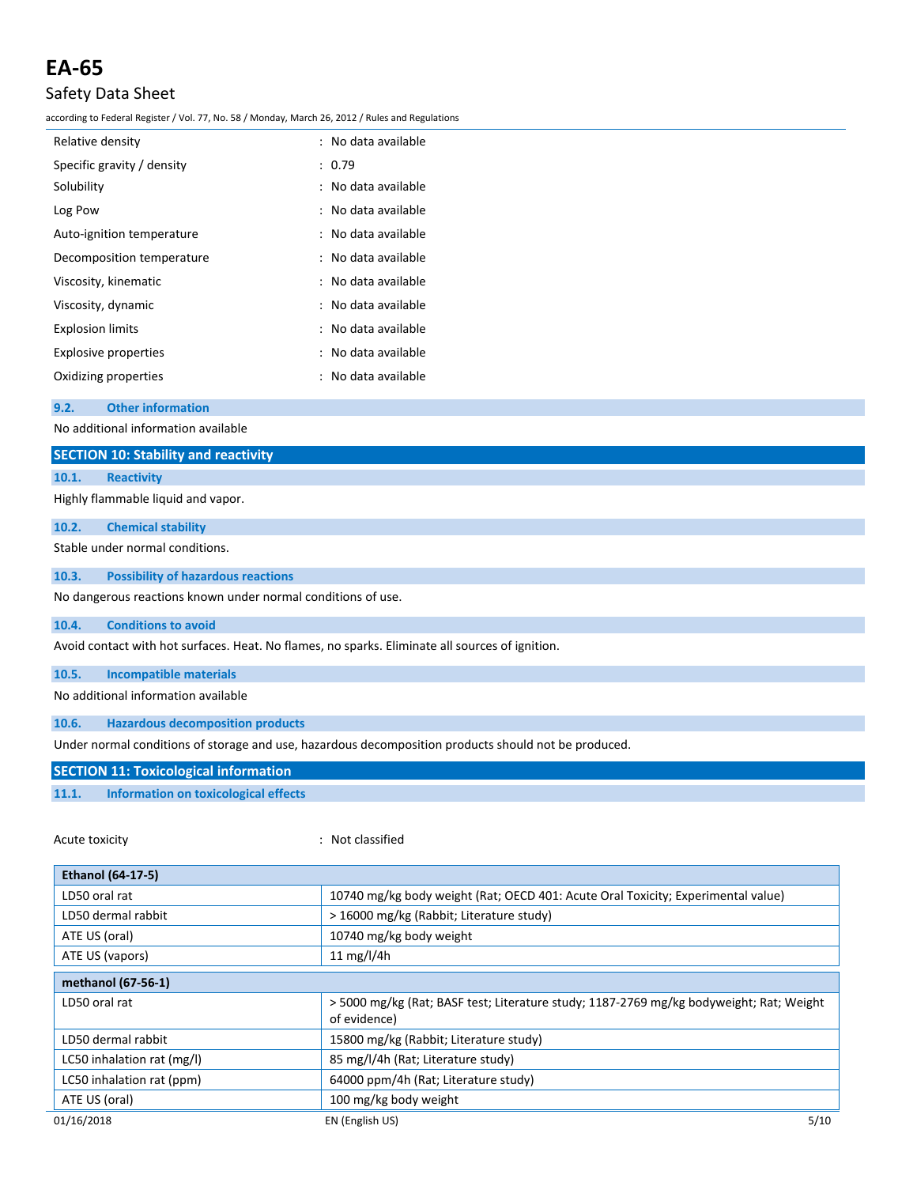## Safety Data Sheet

according to Federal Register / Vol. 77, No. 58 / Monday, March 26, 2012 / Rules and Regulations

| Relative density            | : No data available |
|-----------------------------|---------------------|
| Specific gravity / density  | : 0.79              |
| Solubility                  | : No data available |
| Log Pow                     | : No data available |
| Auto-ignition temperature   | : No data available |
| Decomposition temperature   | : No data available |
| Viscosity, kinematic        | : No data available |
| Viscosity, dynamic          | : No data available |
| <b>Explosion limits</b>     | : No data available |
| <b>Explosive properties</b> | : No data available |
| Oxidizing properties        | : No data available |
|                             |                     |

**9.2. Other information**

No additional information available

|       | No additional information available                                                             |
|-------|-------------------------------------------------------------------------------------------------|
|       | <b>SECTION 10: Stability and reactivity</b>                                                     |
| 10.1. | <b>Reactivity</b>                                                                               |
|       | Highly flammable liquid and vapor.                                                              |
| 10.2. | <b>Chemical stability</b>                                                                       |
|       | Stable under normal conditions.                                                                 |
| 10.3. | <b>Possibility of hazardous reactions</b>                                                       |
|       | No dangerous reactions known under normal conditions of use.                                    |
| 10.4. | <b>Conditions to avoid</b>                                                                      |
|       | Avoid contact with hot surfaces. Heat. No flames, no sparks. Eliminate all sources of ignition. |
| 10.5. | <b>Incompatible materials</b>                                                                   |
|       | No additional information available                                                             |

**10.6. Hazardous decomposition products**

Under normal conditions of storage and use, hazardous decomposition products should not be produced.

## **SECTION 11: Toxicological information**

### **11.1. Information on toxicological effects**

Acute toxicity **in the case of the contract of the contract of the contract of the contract of the contract of the contract of the contract of the contract of the contract of the contract of the contract of the contract of** 

| <b>Ethanol (64-17-5)</b>   |                                                                                                        |  |  |
|----------------------------|--------------------------------------------------------------------------------------------------------|--|--|
| LD50 oral rat              | 10740 mg/kg body weight (Rat; OECD 401: Acute Oral Toxicity; Experimental value)                       |  |  |
| LD50 dermal rabbit         | > 16000 mg/kg (Rabbit; Literature study)                                                               |  |  |
| ATE US (oral)              | 10740 mg/kg body weight                                                                                |  |  |
| ATE US (vapors)            | 11 mg/l/4h                                                                                             |  |  |
| methanol (67-56-1)         |                                                                                                        |  |  |
| LD50 oral rat              | >5000 mg/kg (Rat; BASF test; Literature study; 1187-2769 mg/kg bodyweight; Rat; Weight<br>of evidence) |  |  |
| LD50 dermal rabbit         | 15800 mg/kg (Rabbit; Literature study)                                                                 |  |  |
| LC50 inhalation rat (mg/l) | 85 mg/l/4h (Rat; Literature study)                                                                     |  |  |
| LC50 inhalation rat (ppm)  | 64000 ppm/4h (Rat; Literature study)                                                                   |  |  |
| ATE US (oral)              | 100 mg/kg body weight                                                                                  |  |  |
| 01/16/2018                 | 5/10<br>EN (English US)                                                                                |  |  |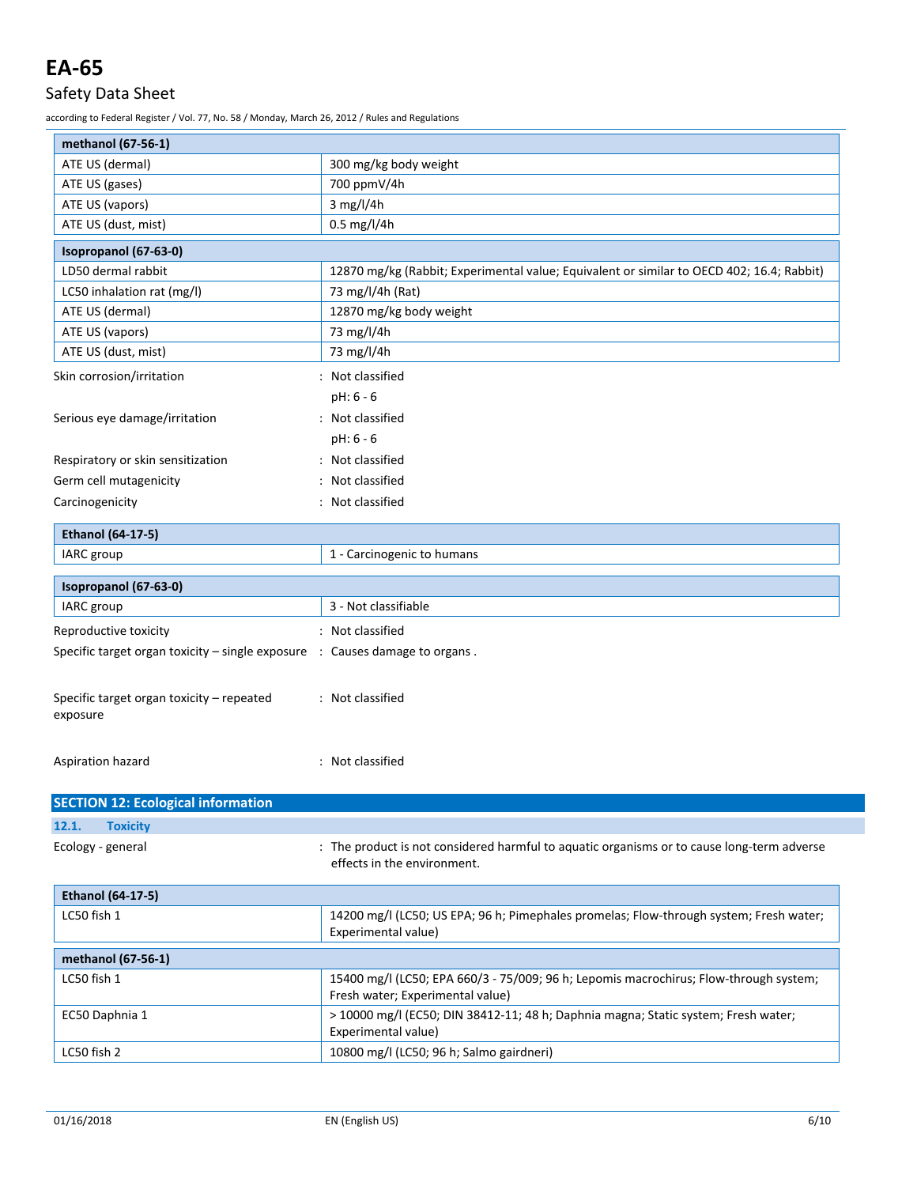# Safety Data Sheet

according to Federal Register / Vol. 77, No. 58 / Monday, March 26, 2012 / Rules and Regulations

| methanol (67-56-1)                                                                       |                                                                                                                           |  |  |  |
|------------------------------------------------------------------------------------------|---------------------------------------------------------------------------------------------------------------------------|--|--|--|
| ATE US (dermal)                                                                          | 300 mg/kg body weight                                                                                                     |  |  |  |
| ATE US (gases)                                                                           | 700 ppmV/4h                                                                                                               |  |  |  |
| ATE US (vapors)                                                                          | 3 mg/l/4h                                                                                                                 |  |  |  |
| ATE US (dust, mist)                                                                      | $0.5$ mg/l/4h                                                                                                             |  |  |  |
| Isopropanol (67-63-0)                                                                    |                                                                                                                           |  |  |  |
| LD50 dermal rabbit                                                                       | 12870 mg/kg (Rabbit; Experimental value; Equivalent or similar to OECD 402; 16.4; Rabbit)                                 |  |  |  |
| LC50 inhalation rat (mg/l)                                                               | 73 mg/l/4h (Rat)                                                                                                          |  |  |  |
| ATE US (dermal)                                                                          | 12870 mg/kg body weight                                                                                                   |  |  |  |
| ATE US (vapors)                                                                          | 73 mg/l/4h                                                                                                                |  |  |  |
| ATE US (dust, mist)                                                                      | 73 mg/l/4h                                                                                                                |  |  |  |
| Skin corrosion/irritation                                                                | : Not classified                                                                                                          |  |  |  |
|                                                                                          | pH: 6 - 6                                                                                                                 |  |  |  |
| Serious eye damage/irritation                                                            | : Not classified                                                                                                          |  |  |  |
|                                                                                          | pH: 6 - 6                                                                                                                 |  |  |  |
| Respiratory or skin sensitization                                                        | : Not classified                                                                                                          |  |  |  |
| Germ cell mutagenicity                                                                   | Not classified                                                                                                            |  |  |  |
| Carcinogenicity                                                                          | : Not classified                                                                                                          |  |  |  |
|                                                                                          |                                                                                                                           |  |  |  |
| <b>Ethanol (64-17-5)</b>                                                                 |                                                                                                                           |  |  |  |
| IARC group                                                                               | 1 - Carcinogenic to humans                                                                                                |  |  |  |
| Isopropanol (67-63-0)                                                                    |                                                                                                                           |  |  |  |
| IARC group                                                                               | 3 - Not classifiable                                                                                                      |  |  |  |
| Reproductive toxicity                                                                    | : Not classified                                                                                                          |  |  |  |
| Specific target organ toxicity $-$ single exposure $\therefore$ Causes damage to organs. |                                                                                                                           |  |  |  |
| Specific target organ toxicity - repeated<br>exposure                                    | : Not classified                                                                                                          |  |  |  |
| Aspiration hazard                                                                        | : Not classified                                                                                                          |  |  |  |
|                                                                                          |                                                                                                                           |  |  |  |
| <b>SECTION 12: Ecological information</b>                                                |                                                                                                                           |  |  |  |
| <b>Toxicity</b><br>12.1.                                                                 |                                                                                                                           |  |  |  |
| Ecology - general                                                                        | : The product is not considered harmful to aquatic organisms or to cause long-term adverse<br>effects in the environment. |  |  |  |
| <b>Ethanol (64-17-5)</b>                                                                 |                                                                                                                           |  |  |  |
| LC50 fish 1                                                                              | 14200 mg/l (LC50; US EPA; 96 h; Pimephales promelas; Flow-through system; Fresh water;<br>Experimental value)             |  |  |  |
| methanol (67-56-1)                                                                       |                                                                                                                           |  |  |  |
| LC50 fish 1                                                                              | 15400 mg/l (LC50; EPA 660/3 - 75/009; 96 h; Lepomis macrochirus; Flow-through system;                                     |  |  |  |
|                                                                                          | Fresh water; Experimental value)                                                                                          |  |  |  |
| EC50 Daphnia 1                                                                           | > 10000 mg/l (EC50; DIN 38412-11; 48 h; Daphnia magna; Static system; Fresh water;<br>Experimental value)                 |  |  |  |
| LC50 fish 2                                                                              | 10800 mg/l (LC50; 96 h; Salmo gairdneri)                                                                                  |  |  |  |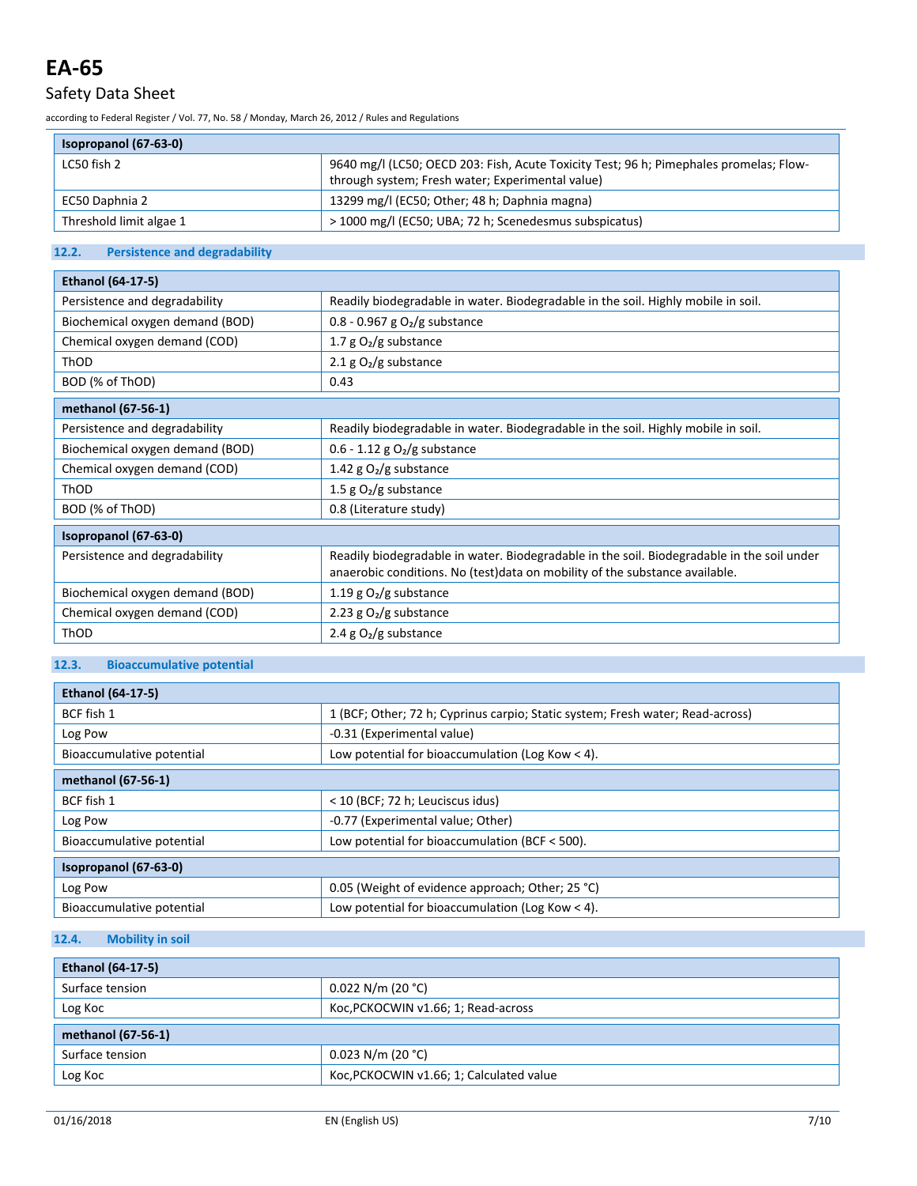# Safety Data Sheet

according to Federal Register / Vol. 77, No. 58 / Monday, March 26, 2012 / Rules and Regulations

## **Isopropanol (67-63-0)**

| <b>ISOPropanol (67-63-0)</b> |                                                                                                                                            |
|------------------------------|--------------------------------------------------------------------------------------------------------------------------------------------|
| LC50 fish 2                  | 9640 mg/l (LC50; OECD 203: Fish, Acute Toxicity Test; 96 h; Pimephales promelas; Flow-<br>through system; Fresh water; Experimental value) |
| EC50 Daphnia 2               | 13299 mg/l (EC50; Other; 48 h; Daphnia magna)                                                                                              |
| Threshold limit algae 1      | > 1000 mg/l (EC50; UBA; 72 h; Scenedesmus subspicatus)                                                                                     |

### **12.2. Persistence and degradability**

| <b>Ethanol (64-17-5)</b>        |                                                                                                                                                                            |  |  |  |
|---------------------------------|----------------------------------------------------------------------------------------------------------------------------------------------------------------------------|--|--|--|
| Persistence and degradability   | Readily biodegradable in water. Biodegradable in the soil. Highly mobile in soil.                                                                                          |  |  |  |
| Biochemical oxygen demand (BOD) | 0.8 - 0.967 g $O_2/g$ substance                                                                                                                                            |  |  |  |
| Chemical oxygen demand (COD)    | 1.7 $g O2/g$ substance                                                                                                                                                     |  |  |  |
| ThOD                            | 2.1 g $O_2/g$ substance                                                                                                                                                    |  |  |  |
| BOD (% of ThOD)                 | 0.43                                                                                                                                                                       |  |  |  |
| methanol (67-56-1)              |                                                                                                                                                                            |  |  |  |
| Persistence and degradability   | Readily biodegradable in water. Biodegradable in the soil. Highly mobile in soil.                                                                                          |  |  |  |
| Biochemical oxygen demand (BOD) | $0.6 - 1.12$ g O <sub>2</sub> /g substance                                                                                                                                 |  |  |  |
| Chemical oxygen demand (COD)    | 1.42 g $O2/g$ substance                                                                                                                                                    |  |  |  |
| ThOD                            | 1.5 g $O_2/g$ substance                                                                                                                                                    |  |  |  |
| BOD (% of ThOD)                 | 0.8 (Literature study)                                                                                                                                                     |  |  |  |
| Isopropanol (67-63-0)           |                                                                                                                                                                            |  |  |  |
| Persistence and degradability   | Readily biodegradable in water. Biodegradable in the soil. Biodegradable in the soil under<br>anaerobic conditions. No (test) data on mobility of the substance available. |  |  |  |
| Biochemical oxygen demand (BOD) | 1.19 g $O2/g$ substance                                                                                                                                                    |  |  |  |
| Chemical oxygen demand (COD)    | 2.23 g $O2/g$ substance                                                                                                                                                    |  |  |  |
| ThOD                            | 2.4 g $O_2/g$ substance                                                                                                                                                    |  |  |  |

### **12.3. Bioaccumulative potential**

| <b>Ethanol (64-17-5)</b>  |                                                                                |  |  |
|---------------------------|--------------------------------------------------------------------------------|--|--|
| BCF fish 1                | 1 (BCF; Other; 72 h; Cyprinus carpio; Static system; Fresh water; Read-across) |  |  |
| Log Pow                   | -0.31 (Experimental value)                                                     |  |  |
| Bioaccumulative potential | Low potential for bioaccumulation (Log Kow < 4).                               |  |  |
| methanol (67-56-1)        |                                                                                |  |  |
| BCF fish 1                | < 10 (BCF; 72 h; Leuciscus idus)                                               |  |  |
| Log Pow                   | -0.77 (Experimental value; Other)                                              |  |  |
| Bioaccumulative potential | Low potential for bioaccumulation (BCF $<$ 500).                               |  |  |
| Isopropanol (67-63-0)     |                                                                                |  |  |
| Log Pow                   | 0.05 (Weight of evidence approach; Other; 25 °C)                               |  |  |
| Bioaccumulative potential | Low potential for bioaccumulation (Log Kow $<$ 4).                             |  |  |

## **12.4. Mobility in soil**

| <b>Ethanol (64-17-5)</b> |                                          |  |  |
|--------------------------|------------------------------------------|--|--|
| Surface tension          | $0.022$ N/m (20 °C)                      |  |  |
| Log Koc                  | Koc, PCKOCWIN v1.66; 1; Read-across      |  |  |
| methanol (67-56-1)       |                                          |  |  |
| Surface tension          | $0.023$ N/m (20 °C)                      |  |  |
| Log Koc                  | Koc, PCKOCWIN v1.66; 1; Calculated value |  |  |

٦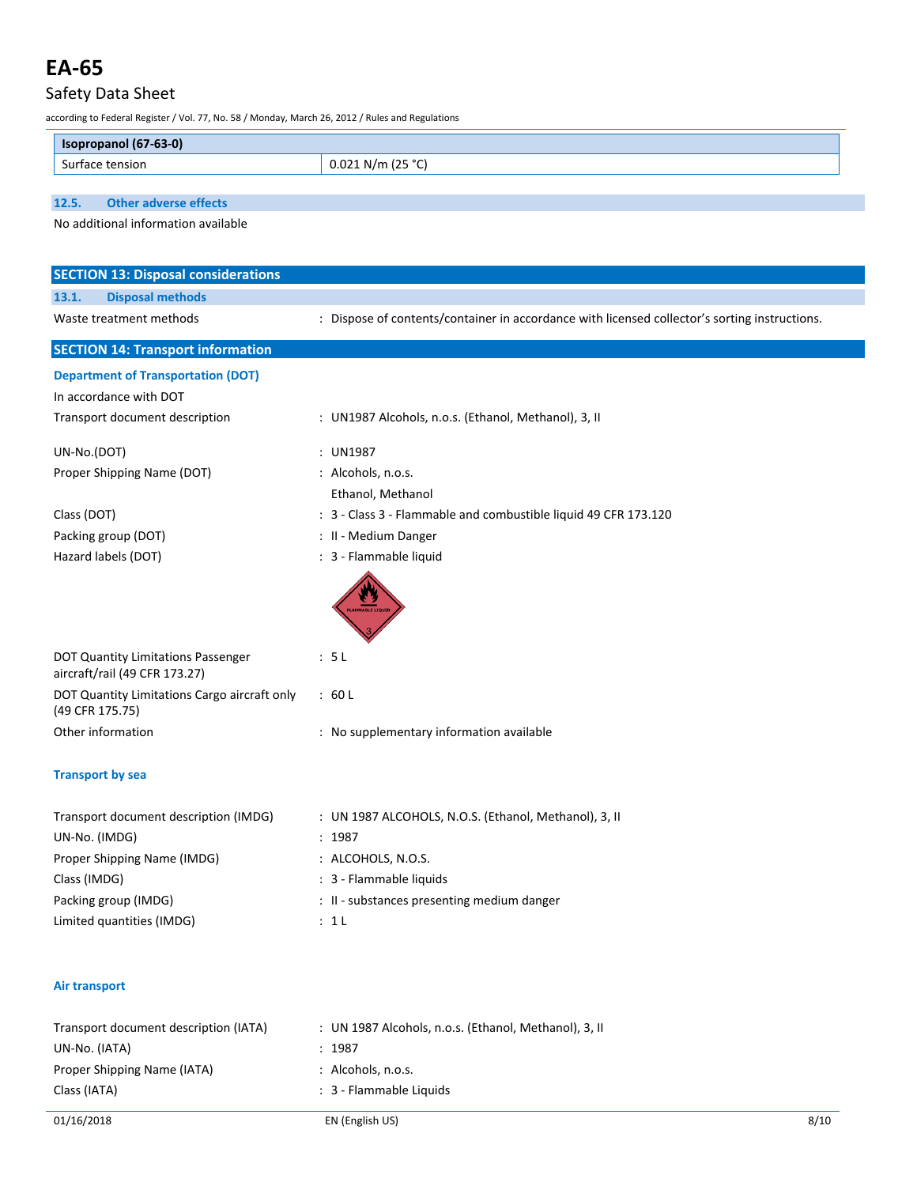# Safety Data Sheet

according to Federal Register / Vol. 77, No. 58 / Monday, March 26, 2012 / Rules and Regulations

| $(67-63-0)$ |                                          |
|-------------|------------------------------------------|
| tension     | 12F.9C<br>$\sim$ $\sim$<br>N/m<br>◡<br>. |

**12.5. Other adverse effects**

No additional information available

| <b>SECTION 13: Disposal considerations</b>                          |                                                                                               |  |  |  |
|---------------------------------------------------------------------|-----------------------------------------------------------------------------------------------|--|--|--|
| <b>Disposal methods</b><br>13.1.                                    |                                                                                               |  |  |  |
| Waste treatment methods                                             | : Dispose of contents/container in accordance with licensed collector's sorting instructions. |  |  |  |
| <b>SECTION 14: Transport information</b>                            |                                                                                               |  |  |  |
| <b>Department of Transportation (DOT)</b><br>In accordance with DOT |                                                                                               |  |  |  |
| Transport document description                                      | : UN1987 Alcohols, n.o.s. (Ethanol, Methanol), 3, II                                          |  |  |  |
| UN-No.(DOT)                                                         | : UN1987                                                                                      |  |  |  |
| Proper Shipping Name (DOT)                                          | : Alcohols, n.o.s.                                                                            |  |  |  |
|                                                                     | Ethanol, Methanol                                                                             |  |  |  |
| Class (DOT)                                                         | : 3 - Class 3 - Flammable and combustible liquid 49 CFR 173.120                               |  |  |  |
| Packing group (DOT)                                                 | : II - Medium Danger                                                                          |  |  |  |
| Hazard labels (DOT)                                                 | : 3 - Flammable liquid                                                                        |  |  |  |
|                                                                     | LAMMABLE LIQU                                                                                 |  |  |  |
| DOT Quantity Limitations Passenger<br>aircraft/rail (49 CFR 173.27) | : 5L                                                                                          |  |  |  |
| DOT Quantity Limitations Cargo aircraft only<br>(49 CFR 175.75)     | :60L                                                                                          |  |  |  |
| Other information                                                   | : No supplementary information available                                                      |  |  |  |
| <b>Transport by sea</b>                                             |                                                                                               |  |  |  |
| Transport document description (IMDG)                               | : UN 1987 ALCOHOLS, N.O.S. (Ethanol, Methanol), 3, II                                         |  |  |  |
| UN-No. (IMDG)                                                       | : 1987                                                                                        |  |  |  |
| Proper Shipping Name (IMDG)                                         | : ALCOHOLS, N.O.S.                                                                            |  |  |  |
| Class (IMDG)                                                        | : 3 - Flammable liquids                                                                       |  |  |  |
| Packing group (IMDG)                                                | : II - substances presenting medium danger                                                    |  |  |  |
| Limited quantities (IMDG)                                           | : 1L                                                                                          |  |  |  |
| <b>Air transport</b>                                                |                                                                                               |  |  |  |
| Transport document description (IATA)                               | : UN 1987 Alcohols, n.o.s. (Ethanol, Methanol), 3, II                                         |  |  |  |
| UN-No. (IATA)                                                       | : 1987                                                                                        |  |  |  |
| Proper Shipping Name (IATA)                                         | : Alcohols, n.o.s.                                                                            |  |  |  |
| Class (IATA)                                                        | : 3 - Flammable Liquids                                                                       |  |  |  |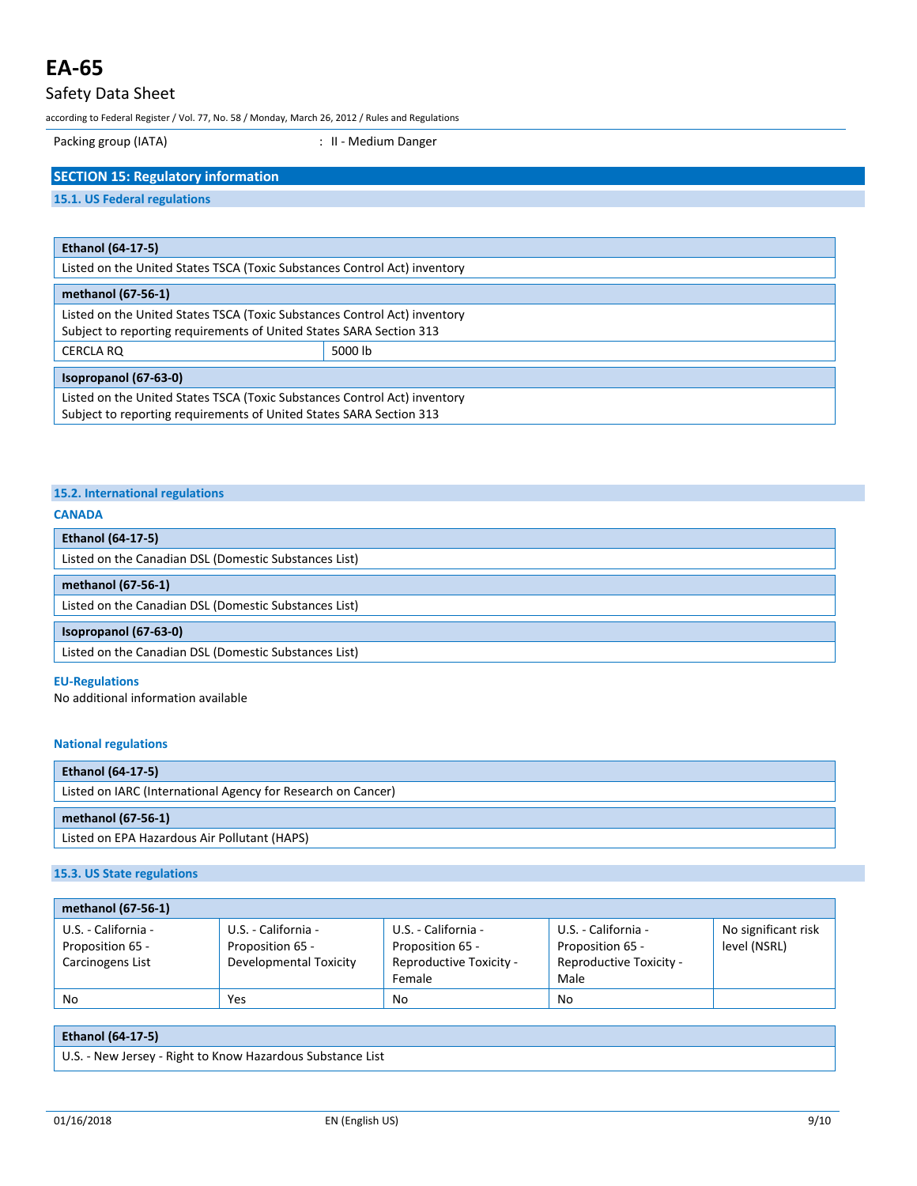# Safety Data Sheet

according to Federal Register / Vol. 77, No. 58 / Monday, March 26, 2012 / Rules and Regulations

Packing group (IATA)  $\qquad \qquad$  : II - Medium Danger

### **SECTION 15: Regulatory information**

### **15.1. US Federal regulations**

| <b>Ethanol (64-17-5)</b>                                                                                                                         |         |  |
|--------------------------------------------------------------------------------------------------------------------------------------------------|---------|--|
| Listed on the United States TSCA (Toxic Substances Control Act) inventory                                                                        |         |  |
| methanol (67-56-1)                                                                                                                               |         |  |
| Listed on the United States TSCA (Toxic Substances Control Act) inventory<br>Subject to reporting requirements of United States SARA Section 313 |         |  |
| CERCLA RO                                                                                                                                        | 5000 lb |  |
| Isopropanol (67-63-0)                                                                                                                            |         |  |
| Listed on the United States TSCA (Toxic Substances Control Act) inventory<br>Subject to reporting requirements of United States SARA Section 313 |         |  |

### **15.2. International regulations**

#### **CANADA**

| <b>Ethanol (64-17-5)</b>                              |  |  |
|-------------------------------------------------------|--|--|
| Listed on the Canadian DSL (Domestic Substances List) |  |  |
| methanol (67-56-1)                                    |  |  |
| Listed on the Canadian DSL (Domestic Substances List) |  |  |
| Isopropanol (67-63-0)                                 |  |  |
| Listed on the Canadian DSL (Domestic Substances List) |  |  |

#### **EU-Regulations**

No additional information available

### **National regulations**

| <b>Ethanol (64-17-5)</b>                                     |  |  |
|--------------------------------------------------------------|--|--|
| Listed on IARC (International Agency for Research on Cancer) |  |  |
|                                                              |  |  |
| methanol (67-56-1)                                           |  |  |

### **15.3. US State regulations**

| methanol (67-56-1)  |                        |                         |                         |                     |
|---------------------|------------------------|-------------------------|-------------------------|---------------------|
| U.S. - California - | U.S. - California -    | U.S. - California -     | U.S. - California -     | No significant risk |
| Proposition 65 -    | Proposition 65 -       | Proposition 65 -        | Proposition 65 -        | level (NSRL)        |
| Carcinogens List    | Developmental Toxicity | Reproductive Toxicity - | Reproductive Toxicity - |                     |
|                     |                        | Female                  | Male                    |                     |
| No                  | Yes                    | No                      | No                      |                     |

### **Ethanol (64-17-5)**

U.S. - New Jersey - Right to Know Hazardous Substance List